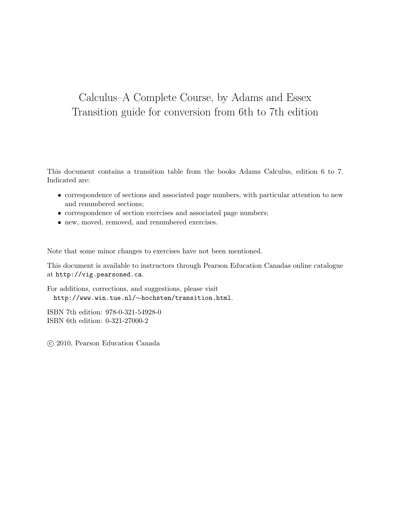## Calculus–A Complete Course, by Adams and Essex Transition guide for conversion from 6th to 7th edition

This document contains a transition table from the books Adams Calculus, edition 6 to 7. Indicated are:

- correspondence of sections and associated page numbers, with particular attention to new and renumbered sections;
- $\bullet\,$  correspondence of section exercises and associated page numbers;
- new, moved, removed, and renumbered exercises.

Note that some minor changes to exercises have not been mentioned.

This document is available to instructors through Pearson Education Canadas online catalogue at http://vig.pearsoned.ca.

For additions, corrections, and suggestions, please visit http://www.win.tue.nl/∼hochsten/transition.html.

ISBN 7th edition: 978-0-321-54928-0 ISBN 6th edition: 0-321-27000-2

c 2010, Pearson Education Canada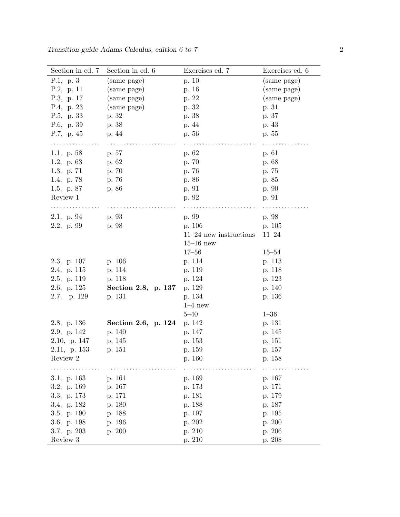| Section in ed. 7 | Section in ed. 6    | Exercises ed. 7          | Exercises ed. 6 |
|------------------|---------------------|--------------------------|-----------------|
| P.1, p.3         | (same page)         | p. 10                    | (same page)     |
| P.2, p. 11       | (same page)         | p. 16                    | (same page)     |
| P.3, p. 17       | (same page)         | p. 22                    | (same page)     |
| P.4, p. 23       | (same page)         | p. 32                    | p. 31           |
| P.5, p. 33       | p. 32               | p. 38                    | p. 37           |
| P.6, p. 39       | p. 38               | p. 44                    | p. 43           |
| P.7, p. $45$     | p. 44               | p. 56                    | p. 55           |
| .                |                     |                          |                 |
| 1.1, p. $58$     | p. 57               | p. 62                    | p. 61           |
| 1.2, p. $63$     | p. 62               | p. 70                    | p. 68           |
| 1.3, p. $71$     | p. 70               | p. 76                    | p. 75           |
| 1.4, p. 78       | p. 76               | p. 86                    | p. 85           |
| 1.5, p. $87$     | p. 86               | p. 91                    | p. 90           |
| Review 1         |                     | p. 92                    | p. 91           |
|                  |                     |                          |                 |
| 2.1, p. 94       | p. 93               | p. 99                    | p. 98           |
| 2.2, p.99        | p. 98               | p. 106                   | p. 105          |
|                  |                     | $11-24$ new instructions | $11 - 24$       |
|                  |                     | $15-16$ new              |                 |
|                  |                     | $17 - 56$                | $15 - 54$       |
| 2.3, p. 107      | p. 106              | p. 114                   | p. 113          |
| 2.4, p. 115      | p. 114              | p. 119                   | p. 118          |
| 2.5, p. 119      | p. 118              | p. 124                   | p. 123          |
| 2.6, p. $125$    | Section 2.8, p. 137 | p. 129                   | p. 140          |
| 2.7, p. 129      | p. 131              | p. 134                   | p. 136          |
|                  |                     | $1-4$ new                |                 |
|                  |                     | $5 - 40$                 | $1 - 36$        |
| 2.8, p. 136      | Section 2.6, p. 124 | p. 142                   | p. 131          |
| 2.9, p. 142      | p. 140              | p. 147                   | p. 145          |
| 2.10, p. 147     | p. 145              | p. 153                   | p. 151          |
| 2.11, p. 153     | p. 151              | p. 159                   | p. 157          |
| Review 2         |                     | p. 160                   | p. 158          |
|                  |                     |                          |                 |
| 3.1, p. $163$    | p. 161              | p. 169                   | p. 167          |
| 3.2, p. 169      | p. 167              | p. 173                   | p. 171          |
| 3.3, p. 173      | p. 171              | p. 181                   | p. 179          |
| 3.4, p. 182      | p. 180              | p. 188                   | p. 187          |
| 3.5, p. 190      | p. 188              | p. 197                   | p. 195          |
| 3.6, p. 198      | p. 196              | p. 202                   | p. 200          |
| 3.7, p. 203      | p. 200              | p. 210                   | p. 206          |
| Review $3\,$     |                     | p. 210                   | p. 208          |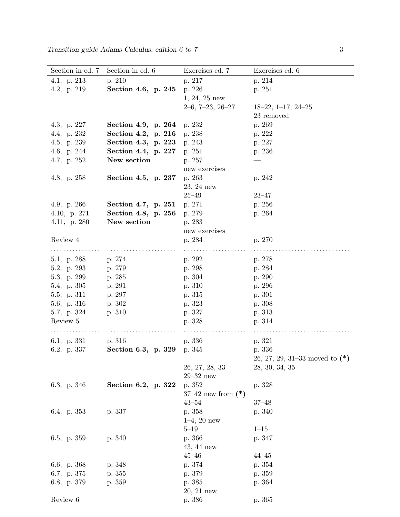| Section in ed. 7 | Section in ed. 6    | Exercises ed. 7        | Exercises ed. 6                  |
|------------------|---------------------|------------------------|----------------------------------|
| 4.1, p. $213$    | p. 210              | p. 217                 | p. 214                           |
| 4.2, p. 219      | Section 4.6, p. 245 | p. 226                 | p. 251                           |
|                  |                     | $1, 24, 25$ new        |                                  |
|                  |                     | $2-6, 7-23, 26-27$     | $18-22, 1-17, 24-25$             |
|                  |                     |                        | 23 removed                       |
| 4.3, p. $227$    | Section 4.9, p. 264 | p. 232                 | p. 269                           |
| 4.4, p. 232      | Section 4.2, p. 216 | p. 238                 | p. 222                           |
| 4.5, p. 239      | Section 4.3, p. 223 | p. 243                 | p. 227                           |
| 4.6, p. 244      | Section 4.4, p. 227 | p. 251                 | p. 236                           |
| 4.7, p. 252      | New section         | p. 257                 |                                  |
|                  |                     | new exercises          |                                  |
| 4.8, p. $258$    | Section 4.5, p. 237 | p. 263                 | p. 242                           |
|                  |                     | $23, 24$ new           |                                  |
|                  |                     | $25 - 49$              | $23 - 47$                        |
| 4.9, p. 266      | Section 4.7, p. 251 | p. 271                 | p. 256                           |
| 4.10, p. $271$   | Section 4.8, p. 256 | p. 279                 | p. 264                           |
| 4.11, p. $280$   | New section         | p. 283                 |                                  |
|                  |                     | new exercises          |                                  |
| Review 4         |                     | p. 284                 | p. 270                           |
|                  |                     |                        |                                  |
| 5.1, p. 288      | p. 274              | p. 292                 | p. 278                           |
| 5.2, p. 293      | p. 279              | p. 298                 | p. 284                           |
| 5.3, p. 299      | p. 285              | p. 304                 | p. 290                           |
| 5.4, p. 305      | p. 291              | p. 310                 | p. 296                           |
| 5.5, p. 311      | p. 297              | p. 315                 | p. 301                           |
| 5.6, p. 316      | p. 302              | p. 323                 | p. 308                           |
| 5.7, p. 324      | p. 310              | p. 327                 | p. 313                           |
| Review 5         |                     | p. 328                 | p. 314                           |
| .                |                     |                        |                                  |
| 6.1, p. $331$    | p. 316              | p. 336                 | p. 321                           |
| 6.2, p. 337      | Section 6.3, p. 329 | p. 345                 | p. 336                           |
|                  |                     |                        | 26, 27, 29, 31–33 moved to $(*)$ |
|                  |                     | 26, 27, 28, 33         | 28, 30, 34, 35                   |
|                  |                     | $29 - 32$ new          |                                  |
| 6.3, p. 346      | Section 6.2, p. 322 | p. 352                 | p. 328                           |
|                  |                     | $37-42$ new from $(*)$ |                                  |
|                  |                     | $43 - 54$              | $37 - 48$                        |
| 6.4, p. $353$    | p. 337              | p. 358                 | p. 340                           |
|                  |                     | $1-4, 20$ new          |                                  |
|                  |                     | $5 - 19$               | $1 - 15$                         |
| 6.5, p. 359      | p. 340              | p. 366                 | p. 347                           |
|                  |                     | $43, 44$ new           |                                  |
|                  |                     | $45 - 46$              | $44 - 45$                        |
| 6.6, p. 368      | p. 348              | p. 374                 | p. 354                           |
| 6.7, p. 375      | p. 355              | p. 379                 | p. 359                           |
| 6.8, p. 379      | p. 359              | p. 385                 | p. 364                           |
|                  |                     | $20, 21$ new           |                                  |
| Review 6         |                     | p. 386                 | p. 365                           |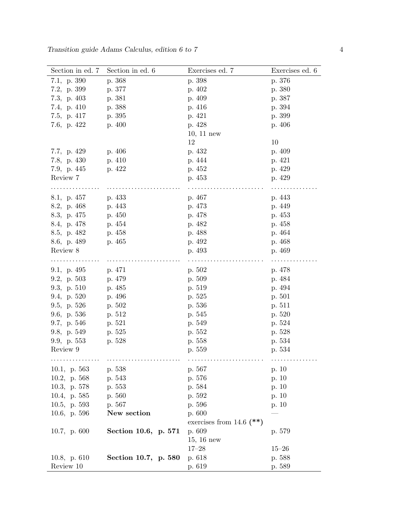| Section in ed. 7 | Section in ed. 6     | Exercises ed. 7            | Exercises ed. 6 |
|------------------|----------------------|----------------------------|-----------------|
| 7.1, p. 390      | p. 368               | p. 398                     | p. 376          |
| 7.2, p. 399      | p. 377               | p. 402                     | p. 380          |
| 7.3, p. $403$    | p. 381               | p. 409                     | p. 387          |
| 7.4, p. $410$    | p. 388               | p. 416                     | p. 394          |
| 7.5, p. $417$    | p. 395               | p. 421                     | p. 399          |
| 7.6, p. $422$    | p. $400$             | p. 428                     | p. 406          |
|                  |                      | $10, 11$ new               |                 |
|                  |                      | 12                         | 10              |
| 7.7, p. 429      | p. 406               | p. 432                     | p. 409          |
| 7.8, p. 430      | p. 410               | p. 444                     | p. 421          |
| 7.9, p. $445$    | p. 422               | p. 452                     | p. 429          |
| Review 7         |                      | p. 453                     | p. 429          |
|                  |                      |                            |                 |
| 8.1, p. 457      | p. 433               | p. 467                     | p. 443          |
| 8.2, p. 468      | p. 443               | p. 473                     | p. 449          |
| 8.3, p. 475      | p. 450               | p. 478                     | p. 453          |
| 8.4, p. 478      | p. 454               | p. 482                     | p. 458          |
| 8.5, p. 482      | p. 458               | p. 488                     | p. 464          |
| 8.6, p. 489      | p. 465               | p. 492                     | p. 468          |
| Review 8         |                      | p. 493                     | p. 469          |
| .                | .                    | .                          | .               |
| 9.1, p. $495$    | p. 471               | p. 502                     | p. 478          |
| 9.2, p. $503$    | p. 479               | p. 509                     | p. 484          |
| 9.3, p. $510$    | p. 485               | p. 519                     | p. 494          |
| 9.4, p. 520      | p. 496               | p. 525                     | p. 501          |
| 9.5, p. $526$    | p. 502               | p. 536                     | p. 511          |
| 9.6, p. $536$    | p. 512               | p. 545                     | p. 520          |
| 9.7, p. 546      | p. 521               | p. 549                     | p. 524          |
| 9.8, p. 549      | p. 525               | p. 552                     | p. 528          |
| 9.9, p. $553$    | p. 528               | p. 558                     | p. 534          |
| Review 9         |                      | p. 559                     | p. 534          |
|                  |                      |                            |                 |
| 10.1, p. $563$   | p. 538               | p. 567                     | p. $10$         |
| 10.2, p. $568$   | p. 543               | p. 576                     | p. 10           |
| 10.3, p. 578     | p. 553               | p. 584                     | p. 10           |
| 10.4, p. 585     | p. 560               | p. 592                     | p. 10           |
| 10.5, p. $593$   | p. 567               | p. 596                     | p. 10           |
| 10.6, p. 596     | New section          | p. 600                     |                 |
|                  |                      | exercises from 14.6 $(**)$ |                 |
| 10.7, p. $600$   | Section 10.6, p. 571 | p. 609                     | p. 579          |
|                  |                      | $15, 16$ new               |                 |
|                  |                      | $17 - 28$                  | $15 - 26$       |
| 10.8, p. $610$   | Section 10.7, p. 580 | p. 618                     | p. 588          |
| Review 10        |                      | p. 619                     | p. 589          |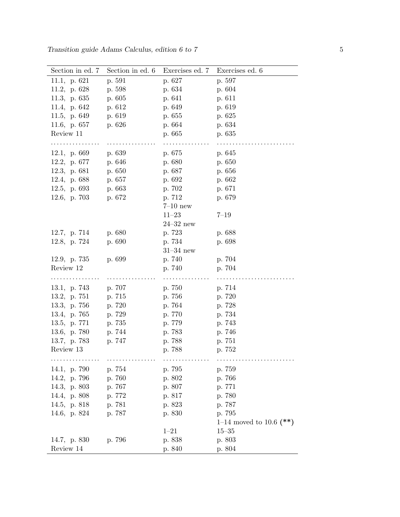| Section in ed. 7    | Section in ed. 6 | Exercises ed. 7 | Exercises ed. 6         |
|---------------------|------------------|-----------------|-------------------------|
| 11.1, p. $621$      | p. 591           | p. 627          | p. 597                  |
| 11.2, p. $628$      | p. 598           | p. 634          | p. 604                  |
| 11.3, p. $635$      | p. 605           | p. 641          | p. 611                  |
| 11.4, p. 642        | p. 612           | p. 649          | p. 619                  |
| 11.5, p. 649        | p. 619           | p. 655          | p. 625                  |
| 11.6, p. 657        | p. 626           | p. 664          | p. 634                  |
| Review 11           |                  | p. 665          | p. 635                  |
| . <b>.</b> .        | .                | .               |                         |
| 12.1, p. $669$      | p. 639           | p. 675          | p. 645                  |
| 12.2, p. $677$      | p. 646           | p. 680          | p. 650                  |
| 12.3, p. 681        | p. 650           | p. 687          | p. 656                  |
| 12.4, p. 688 p. 657 |                  | p. 692          | p. 662                  |
| 12.5, p. $693$      | p. 663           | p. 702          | p. 671                  |
| 12.6, p. $703$      | p. 672           | p. 712          | p. 679                  |
|                     |                  | $7-10$ new      |                         |
|                     |                  | $11 - 23$       | $7 - 19$                |
|                     |                  | $24 - 32$ new   |                         |
| 12.7, p. 714        | p. 680           | p. 723          | p. 688                  |
| 12.8, p. 724        | p. 690           | p. 734          | p. 698                  |
|                     |                  | $31-34$ new     |                         |
| 12.9, p. $735$      | p. 699           | p. 740          | p. 704                  |
| Review 12           |                  | p. 740          | p. 704                  |
| .                   |                  | .               | .                       |
| 13.1, p. 743        | p. 707           | p. 750          | p. 714                  |
| 13.2, p. 751        | p. 715           | p. 756          | p. 720                  |
| 13.3, p. $756$      | p. 720           | p. 764          | p. 728                  |
| 13.4, p. 765        | p. 729           | p. 770          | p. 734                  |
| 13.5, p.771         | p. 735           | p. 779          | p. 743                  |
| 13.6, p. 780        | p. 744           | p. 783          | p. 746                  |
| 13.7, p. 783        | p. 747           | p. 788          | p. 751                  |
| Review 13           |                  | p. 788          | p. 752                  |
|                     |                  |                 |                         |
| 14.1, p. 790        | p. 754           | p. 795          | p. 759                  |
| 14.2, p. 796        | p. 760           | p. 802          | p. 766                  |
| 14.3, p. 803        | p. 767           | p. 807          | p. 771                  |
| 14.4, p. 808        | p. 772           | p. 817          | p. 780                  |
| 14.5, p. 818        | p. 781           | p. 823          | p. 787                  |
| 14.6, p. 824        | p. 787           | p. 830          | p. 795                  |
|                     |                  |                 | 1–14 moved to 10.6 (**) |
|                     |                  | $1 - 21$        | $15 - 35$               |
| 14.7, p. 830        | p. 796           | p. 838          | p. 803                  |
| Review 14           |                  | p. 840          | p. 804                  |